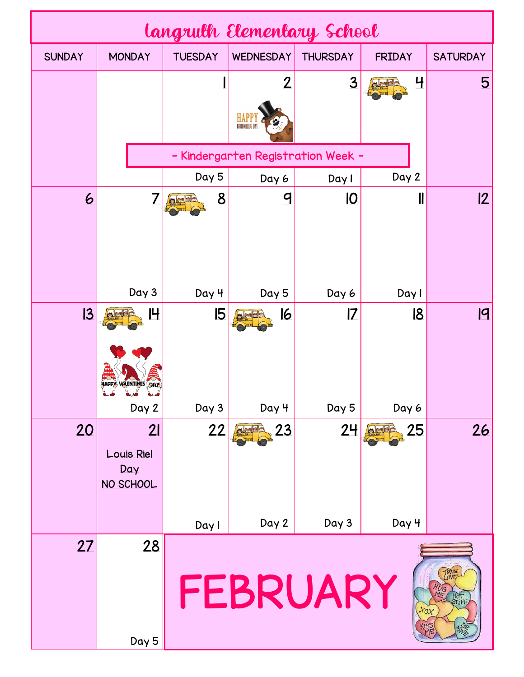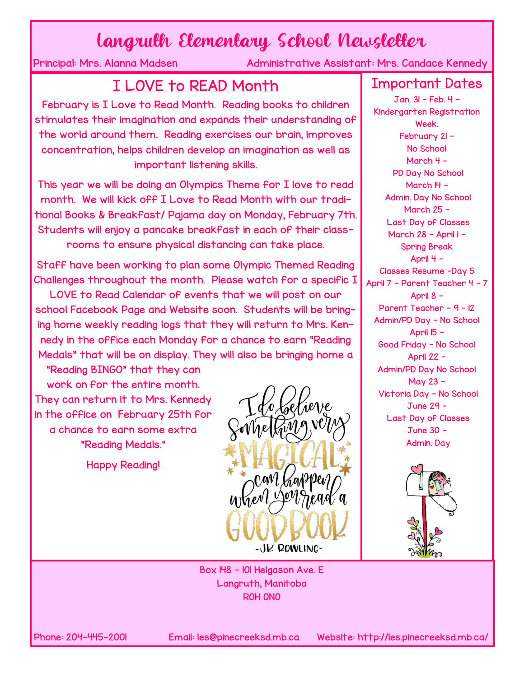## **Langruth Elementary School Newsletter**<br>Administrative Assistant: Mrs. Cande

Administrative Assistant: Mrs. Candace Kennedy

## I LOVE to READ Month

February is I Love to Read Month. Reading books to children stimulates their imagination and expands their understanding of the world around them. Reading exercises our brain, improves concentration, helps children develop an imagination as well as important listening skills.

This year we will be doing an Olympics Theme for I love to read month. We will kick off I Love to Read Month with our traditional Books & Breakfast/ Pajama day on Monday, February 7th. Students will enjoy a pancake breakfast in each of their classrooms to ensure physical distancing can take place.

Staff have been working to plan some Olympic Themed Reading Challenges throughout the month. Please watch for a specific I

LOVE to Read Calendar of events that we will post on our school Facebook Page and Website soon. Students will be bringing home weekly reading logs that they will return to Mrs. Kennedy in the office each Monday for a chance to earn "Reading Medals" that will be on display. They will also be bringing home a

"Reading BINGO" that they can work on for the entire month. They can return it to Mrs. Kennedy in the office on February 25th for a chance to earn some extra "Reading Medals."

Happy Reading!



Box 148 - 101 Helgason Ave. E Langruth, Manitoba R0H 0N0

Important Dates

Jan. 31 - Feb. 4 - Kindergarten Registration Week. February 21 - No School March 4 - PD Day No School March I4 -Admin. Day No School March 25 - Last Day of Classes March 28 - April I -Spring Break April 4 - Classes Resume -Day 5 April 7 - Parent Teacher 4 - 7 April 8 - Parent Teacher - 9 - 12 Admin/PD Day - No School April 15 - Good Friday - No School April 22 - Admin/PD Day No School May 23 - Victoria Day - No School June 29 - Last Day of Classes June 30 - Admin. Day



Phone: 204-445-2001 Email: les@pinecreeksd.mb.ca Website: http://les.pinecreeksd.mb.ca/